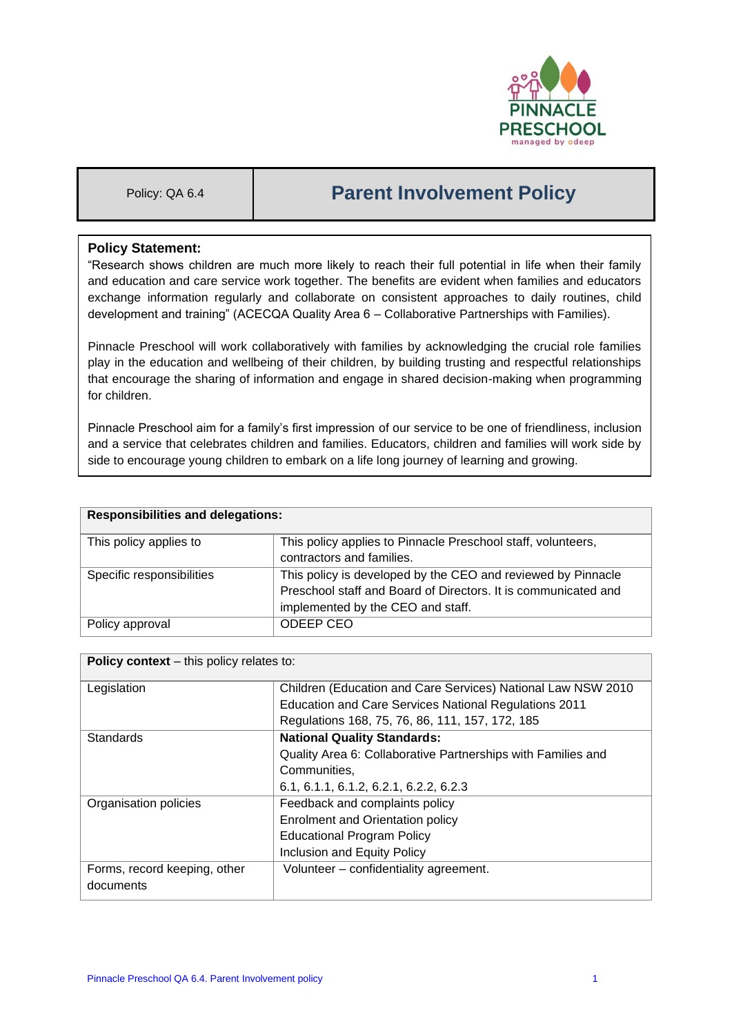

# Policy: QA 6.4 **Parent Involvement Policy**

## **Policy Statement:**

"Research shows children are much more likely to reach their full potential in life when their family and education and care service work together. The benefits are evident when families and educators exchange information regularly and collaborate on consistent approaches to daily routines, child development and training" (ACECQA Quality Area 6 – Collaborative Partnerships with Families).

Pinnacle Preschool will work collaboratively with families by acknowledging the crucial role families play in the education and wellbeing of their children, by building trusting and respectful relationships that encourage the sharing of information and engage in shared decision-making when programming for children.

Pinnacle Preschool aim for a family's first impression of our service to be one of friendliness, inclusion and a service that celebrates children and families. Educators, children and families will work side by side to encourage young children to embark on a life long journey of learning and growing.

| <b>Responsibilities and delegations:</b> |                                                                |  |
|------------------------------------------|----------------------------------------------------------------|--|
| This policy applies to                   | This policy applies to Pinnacle Preschool staff, volunteers,   |  |
|                                          | contractors and families.                                      |  |
| Specific responsibilities                | This policy is developed by the CEO and reviewed by Pinnacle   |  |
|                                          | Preschool staff and Board of Directors. It is communicated and |  |
|                                          | implemented by the CEO and staff.                              |  |
| Policy approval                          | ODEEP CEO                                                      |  |

| <b>Policy context</b> – this policy relates to: |                                                              |  |  |
|-------------------------------------------------|--------------------------------------------------------------|--|--|
| Legislation                                     | Children (Education and Care Services) National Law NSW 2010 |  |  |
|                                                 | Education and Care Services National Regulations 2011        |  |  |
|                                                 | Regulations 168, 75, 76, 86, 111, 157, 172, 185              |  |  |
| <b>Standards</b>                                | <b>National Quality Standards:</b>                           |  |  |
|                                                 | Quality Area 6: Collaborative Partnerships with Families and |  |  |
|                                                 | Communities,                                                 |  |  |
|                                                 | 6.1, 6.1.1, 6.1.2, 6.2.1, 6.2.2, 6.2.3                       |  |  |
| Organisation policies                           | Feedback and complaints policy                               |  |  |
|                                                 | <b>Enrolment and Orientation policy</b>                      |  |  |
|                                                 | <b>Educational Program Policy</b>                            |  |  |
|                                                 | Inclusion and Equity Policy                                  |  |  |
| Forms, record keeping, other                    | Volunteer - confidentiality agreement.                       |  |  |
| documents                                       |                                                              |  |  |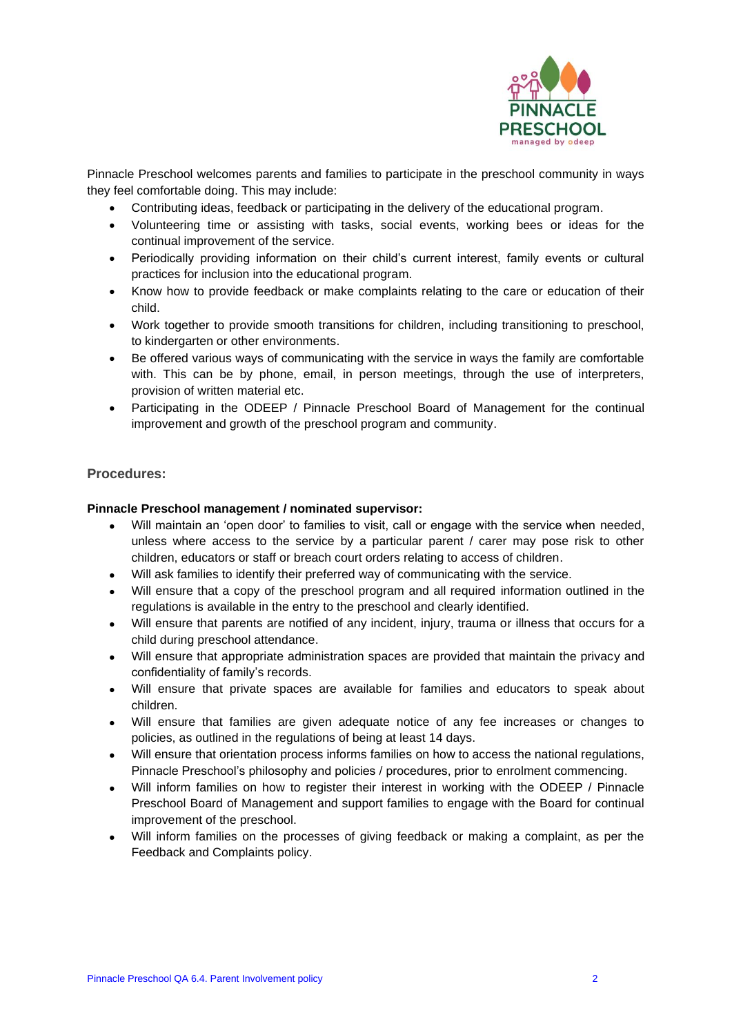

Pinnacle Preschool welcomes parents and families to participate in the preschool community in ways they feel comfortable doing. This may include:

- Contributing ideas, feedback or participating in the delivery of the educational program.
- Volunteering time or assisting with tasks, social events, working bees or ideas for the continual improvement of the service.
- Periodically providing information on their child's current interest, family events or cultural practices for inclusion into the educational program.
- Know how to provide feedback or make complaints relating to the care or education of their child.
- Work together to provide smooth transitions for children, including transitioning to preschool, to kindergarten or other environments.
- Be offered various ways of communicating with the service in ways the family are comfortable with. This can be by phone, email, in person meetings, through the use of interpreters, provision of written material etc.
- Participating in the ODEEP / Pinnacle Preschool Board of Management for the continual improvement and growth of the preschool program and community.

### **Procedures:**

#### **Pinnacle Preschool management / nominated supervisor:**

- Will maintain an 'open door' to families to visit, call or engage with the service when needed, unless where access to the service by a particular parent / carer may pose risk to other children, educators or staff or breach court orders relating to access of children.
- Will ask families to identify their preferred way of communicating with the service.
- Will ensure that a copy of the preschool program and all required information outlined in the regulations is available in the entry to the preschool and clearly identified.
- Will ensure that parents are notified of any incident, injury, trauma or illness that occurs for a child during preschool attendance.
- Will ensure that appropriate administration spaces are provided that maintain the privacy and confidentiality of family's records.
- Will ensure that private spaces are available for families and educators to speak about children.
- Will ensure that families are given adequate notice of any fee increases or changes to policies, as outlined in the regulations of being at least 14 days.
- Will ensure that orientation process informs families on how to access the national regulations, Pinnacle Preschool's philosophy and policies / procedures, prior to enrolment commencing.
- Will inform families on how to register their interest in working with the ODEEP / Pinnacle Preschool Board of Management and support families to engage with the Board for continual improvement of the preschool.
- Will inform families on the processes of giving feedback or making a complaint, as per the Feedback and Complaints policy.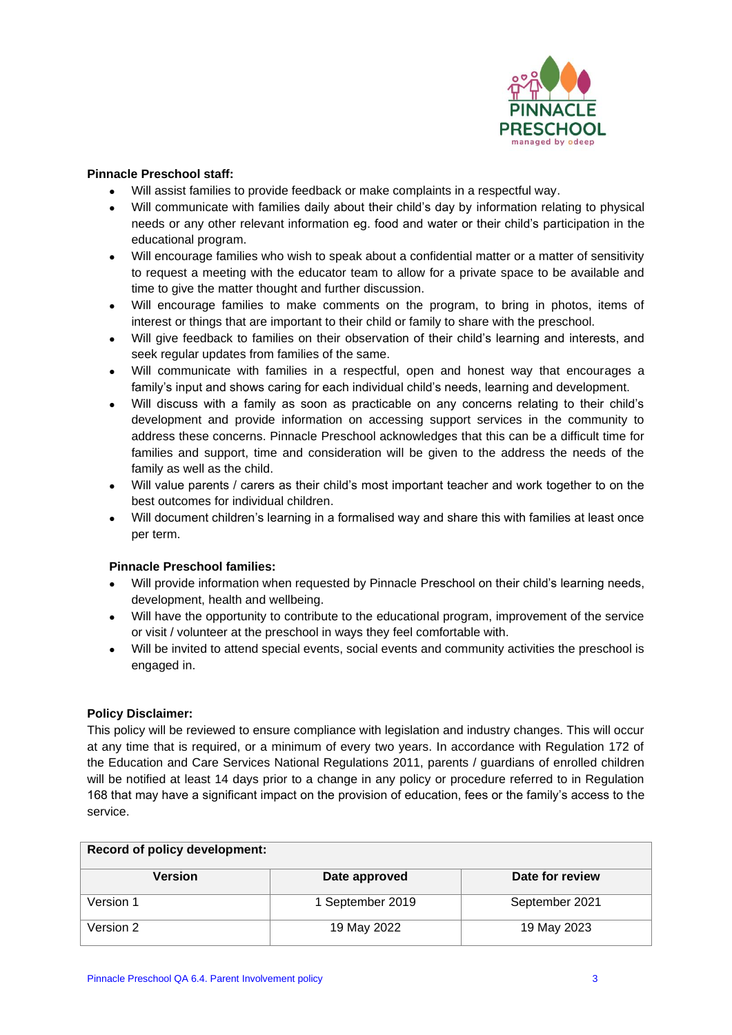

#### **Pinnacle Preschool staff:**

- Will assist families to provide feedback or make complaints in a respectful way.
- Will communicate with families daily about their child's day by information relating to physical needs or any other relevant information eg. food and water or their child's participation in the educational program.
- Will encourage families who wish to speak about a confidential matter or a matter of sensitivity to request a meeting with the educator team to allow for a private space to be available and time to give the matter thought and further discussion.
- Will encourage families to make comments on the program, to bring in photos, items of interest or things that are important to their child or family to share with the preschool.
- Will give feedback to families on their observation of their child's learning and interests, and seek regular updates from families of the same.
- Will communicate with families in a respectful, open and honest way that encourages a family's input and shows caring for each individual child's needs, learning and development.
- Will discuss with a family as soon as practicable on any concerns relating to their child's development and provide information on accessing support services in the community to address these concerns. Pinnacle Preschool acknowledges that this can be a difficult time for families and support, time and consideration will be given to the address the needs of the family as well as the child.
- Will value parents / carers as their child's most important teacher and work together to on the best outcomes for individual children.
- Will document children's learning in a formalised way and share this with families at least once per term.

#### **Pinnacle Preschool families:**

- Will provide information when requested by Pinnacle Preschool on their child's learning needs, development, health and wellbeing.
- Will have the opportunity to contribute to the educational program, improvement of the service or visit / volunteer at the preschool in ways they feel comfortable with.
- Will be invited to attend special events, social events and community activities the preschool is engaged in.

#### **Policy Disclaimer:**

This policy will be reviewed to ensure compliance with legislation and industry changes. This will occur at any time that is required, or a minimum of every two years. In accordance with Regulation 172 of the Education and Care Services National Regulations 2011, parents / guardians of enrolled children will be notified at least 14 days prior to a change in any policy or procedure referred to in Regulation 168 that may have a significant impact on the provision of education, fees or the family's access to the service.

| <b>Record of policy development:</b> |                  |                 |  |
|--------------------------------------|------------------|-----------------|--|
| Version                              | Date approved    | Date for review |  |
| Version 1                            | 1 September 2019 | September 2021  |  |
| Version 2                            | 19 May 2022      | 19 May 2023     |  |